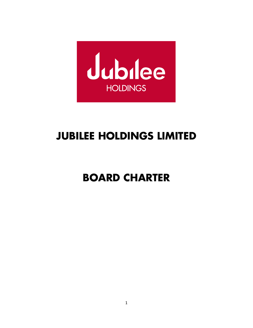

# **JUBILEE HOLDINGS LIMITED**

# **BOARD CHARTER**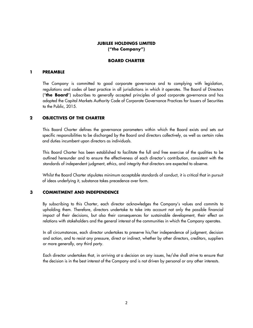## **JUBILEE HOLDINGS LIMITED ("the Company")**

#### **BOARD CHARTER**

#### **1 PREAMBLE**

The Company is committed to good corporate governance and to complying with legislation, regulations and codes of best practice in all jurisdictions in which it operates. The Board of Directors ("**the Board**") subscribes to generally accepted principles of good corporate governance and has adopted the Capital Markets Authority Code of Corporate Governance Practices for Issuers of Securities to the Public, 2015.

#### **2 OBJECTIVES OF THE CHARTER**

This Board Charter defines the governance parameters within which the Board exists and sets out specific responsibilities to be discharged by the Board and directors collectively, as well as certain roles and duties incumbent upon directors as individuals.

This Board Charter has been established to facilitate the full and free exercise of the qualities to be outlined hereunder and to ensure the effectiveness of each director's contribution, consistent with the standards of independent judgment, ethics, and integrity that directors are expected to observe.

Whilst the Board Charter stipulates minimum acceptable standards of conduct, it is critical that in pursuit of ideas underlying it, substance takes precedence over form.

#### **3 COMMITMENT AND INDEPENDENCE**

By subscribing to this Charter, each director acknowledges the Company's values and commits to upholding them. Therefore, directors undertake to take into account not only the possible financial impact of their decisions, but also their consequences for sustainable development, their effect on relations with stakeholders and the general interest of the communities in which the Company operates.

In all circumstances, each director undertakes to preserve his/her independence of judgment, decision and action, and to resist any pressure, direct or indirect, whether by other directors, creditors, suppliers or more generally, any third party.

Each director undertakes that, in arriving at a decision on any issues, he/she shall strive to ensure that the decision is in the best interest of the Company and is not driven by personal or any other interests.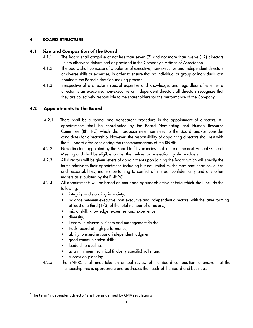# **4 BOARD STRUCTURE**

# **4.1 Size and Composition of the Board**

- 4.1.1 The Board shall comprise of not less than seven (7) and not more than twelve (12) directors unless otherwise determined as provided in the Company's Articles of Association.
- 4.1.2 The Board shall compose of a balance of executive, non-executive and independent directors of diverse skills or expertise, in order to ensure that no individual or group of individuals can dominate the Board's decision-making process.
- 4.1.3 Irrespective of a director's special expertise and knowledge, and regardless of whether a director is an executive, non-executive or independent director, all directors recognize that they are collectively responsible to the shareholders for the performance of the Company.

# **4.2 Appointments to the Board**

- 4.2.1 There shall be a formal and transparent procedure in the appointment of directors. All appointments shall be coordinated by the Board Nominating and Human Resource Committee (BNHRC) which shall propose new nominees to the Board and/or consider candidates for directorship. However, the responsibility of appointing directors shall rest with the full Board after considering the recommendations of the BNHRC.
- 4.2.2 New directors appointed by the Board to fill vacancies shall retire at the next Annual General Meeting and shall be eligible to offer themselves for re-election by shareholders.
- 4.2.3 All directors will be given letters of appointment upon joining the Board which will specify the terms relative to their appointment, including but not limited to, the term remuneration, duties and responsibilities, matters pertaining to conflict of interest, confidentiality and any other matters as stipulated by the BNHRC.
- 4.2.4 All appointments will be based on merit and against objective criteria which shall include the following:
	- integrity and standing in society;
	- $\bullet$  balance between executive, non-executive and independent directors<sup>1</sup> with the latter forming at least one third (1/3) of the total number of directors.;
	- mix of skill, knowledge, expertise and experience;
	- **•** diversity;

<u> 1989 - Johann Barn, mars ann an t-Amhain an t-Amhain an t-Amhain an t-Amhain an t-Amhain an t-Amhain an t-Amh</u>

- literacy in diverse business and management fields;
- track record of high performance;
- ability to exercise sound independent judgment;
- § good communication skills;
- leadership qualities;
- § as a minimum, technical (industry specific) skills; and
- § succession planning.
- 4.2.5 The BNHRC shall undertake an annual review of the Board composition to ensure that the membership mix is appropriate and addresses the needs of the Board and business.

 $1$  The term 'independent director' shall be as defined by CMA regulations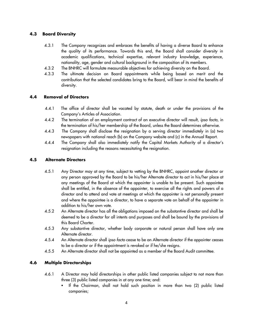## **4.3 Board Diversity**

- 4.3.1 The Company recognizes and embraces the benefits of having a diverse Board to enhance the quality of its performance. Towards this end, the Board shall consider diversity in academic qualifications, technical expertise, relevant industry knowledge, experience, nationality, age, gender and cultural background in the composition of its members.
- 4.3.2 The BNHRC will formulate measurable objectives for achieving diversity on the Board.
- 4.3.3 The ultimate decision on Board appointments while being based on merit and the contribution that the selected candidates bring to the Board, will bear in mind the benefits of diversity.

## **4.4 Removal of Directors**

- 4.4.1 The office of director shall be vacated by statute, death or under the provisions of the Company's Articles of Association.
- 4.4.2 The termination of an employment contract of an executive director will result, *ipso facto,* in the termination of his/her membership of the Board, unless the Board determines otherwise.
- 4.4.3 The Company shall disclose the resignation by a serving director immediately in (a) two newspapers with national reach (b) on the Company website and (c) in the Annual Report.
- 4.4.4 The Company shall also immediately notify the Capital Markets Authority of a director's resignation including the reasons necessitating the resignation.

## **4.5 Alternate Directors**

- 4.5.1 Any Director may at any time, subject to vetting by the BNHRC, appoint another director or any person approved by the Board to be his/her Alternate director to act in his/her place at any meetings of the Board at which the appointer is unable to be present. Such appointee shall be entitled, in the absence of the appointer, to exercise all the rights and powers of a director and to attend and vote at meetings at which the appointer is not personally present and where the appointee is a director, to have a separate vote on behalf of the appointer in addition to his/her own vote.
- 4.5.2 An Alternate director has all the obligations imposed on the substantive director and shall be deemed to be a director for all intents and purposes and shall be bound by the provisions of this Board Charter.
- 4.5.3 Any substantive director, whether body corporate or natural person shall have only one Alternate director.
- 4.5.4 An Alternate director shall *ipso facto* cease to be an Alternate director if the appointer ceases to be a director or if the appointment is revoked or if he/she resigns.
- 4.5.5 An Alternate director shall not be appointed as a member of the Board Audit committee.

## **4.6 Multiple Directorships**

- 4.6.1 A Director may hold directorships in other public listed companies subject to not more than three (3) public listed companies in at any one time; and:
	- § If the Chairman, shall not hold such position in more than two (2) public listed companies;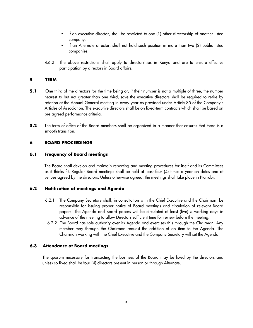- § If an executive director, shall be restricted to one (1) other directorship of another listed company.
- § If an Alternate director, shall not hold such position in more than two (2) public listed companies.
- 4.6.2 The above restrictions shall apply to directorships in Kenya and are to ensure effective participation by directors in Board affairs.

#### **5 TERM**

- **5.1** One third of the directors for the time being or, if their number is not a multiple of three, the number nearest to but not greater than one third, save the executive directors shall be required to retire by rotation at the Annual General meeting in every year as provided under Article 85 of the Company's Articles of Association. The executive directors shall be on fixed-term contracts which shall be based on pre-agreed performance criteria.
- **5.2** The term of office of the Board members shall be organized in a manner that ensures that there is a smooth transition.

## **6 BOARD PROCEEDINGS**

#### **6.1 Frequency of Board meetings**

The Board shall develop and maintain reporting and meeting procedures for itself and its Committees as it thinks fit. Regular Board meetings shall be held at least four (4) times a year on dates and at venues agreed by the directors. Unless otherwise agreed, the meetings shall take place in Nairobi.

#### **6.2 Notification of meetings and Agenda**

- 6.2.1 The Company Secretary shall, in consultation with the Chief Executive and the Chairman, be responsible for issuing proper notice of Board meetings and circulation of relevant Board papers. The Agenda and Board papers will be circulated at least (five) 5 working days in advance of the meeting to allow Directors sufficient time for review before the meeting.
- 6.2.2 The Board has sole authority over its Agenda and exercises this through the Chairman. Any member may through the Chairman request the addition of an item to the Agenda. The Chairman working with the Chief Executive and the Company Secretary will set the Agenda.

#### **6.3 Attendance at Board meetings**

 The quorum necessary for transacting the business of the Board may be fixed by the directors and unless so fixed shall be four (4) directors present in person or through Alternate.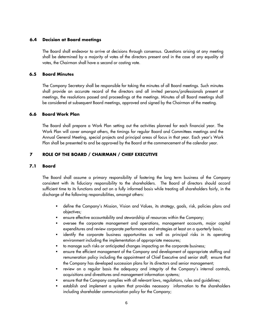#### **6.4 Decision at Board meetings**

 The Board shall endeavor to arrive at decisions through consensus. Questions arising at any meeting shall be determined by a majority of votes of the directors present and in the case of any equality of votes, the Chairman shall have a second or casting vote.

#### **6.5 Board Minutes**

 The Company Secretary shall be responsible for taking the minutes of all Board meetings. Such minutes shall provide an accurate record of the directors and all invited persons/professionals present at meetings, the resolutions passed and proceedings at the meetings. Minutes of all Board meetings shall be considered at subsequent Board meetings, approved and signed by the Chairman of the meeting.

#### **6.6 Board Work Plan**

The Board shall prepare a Work Plan setting out the activities planned for each financial year. The Work Plan will cover amongst others, the timings for regular Board and Committees meetings and the Annual General Meeting, special projects and principal areas of focus in that year. Each year's Work Plan shall be presented to and be approved by the Board at the commencement of the calendar year.

## **7 ROLE OF THE BOARD / CHAIRMAN / CHIEF EXECUTIVE**

#### **7.1 Board**

 The Board shall assume a primary responsibility of fostering the long term business of the Company consistent with its fiduciary responsibility to the shareholders. The Board of directors should accord sufficient time to its functions and act on a fully informed basis while treating all shareholders fairly, in the discharge of the following responsibilities, amongst others:

- define the Company's Mission, Vision and Values, its strategy, goals, risk, policies plans and objectives;
- ensure effective accountability and stewardship of resources within the Company;
- § oversee the corporate management and operations, management accounts, major capital expenditures and review corporate performance and strategies at least on a quarterly basis;
- identify the corporate business opportunities as well as principal risks in its operating environment including the implementation of appropriate measures;
- to manage such risks or anticipated changes impacting on the corporate business;
- ensure the efficient management of the Company and development of appropriate staffing and remuneration policy including the appointment of Chief Executive and senior staff; ensure that the Company has developed succession plans for its directors and senior management;
- review on a regular basis the adequacy and integrity of the Company's internal controls, acquisitions and divestitures and management information systems;
- ensure that the Company complies with all relevant laws, regulations, rules and guidelines;
- § establish and implement a system that provides necessary information to the shareholders including shareholder communication policy for the Company;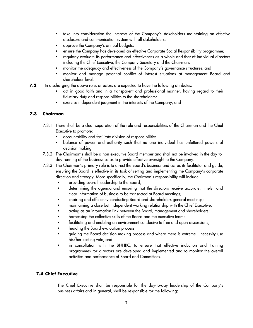- take into consideration the interests of the Company's stakeholders maintaining an effective disclosure and communication system with all stakeholders;
- § approve the Company's annual budgets;
- § ensure the Company has developed an effective Corporate Social Responsibility programme;
- regularly evaluate its performance and effectiveness as a whole and that of individual directors including the Chief Executive, the Company Secretary and the Chairman;
- monitor the adequacy and effectiveness of the Company's governance structures; and
- § monitor and manage potential conflict of interest situations at management Board and shareholder level.
- **7.2** In discharging the above role, directors are expected to have the following attributes:
	- act in good faith and in a transparent and professional manner, having regard to their fiduciary duty and responsibilities to the shareholders;
	- **EXERC** exercise independent judgment in the interests of the Company; and

## **7.3 Chairman**

- 7.3.1 There shall be a clear separation of the role and responsibilities of the Chairman and the Chief Executive to promote:
	- § accountability and facilitate division of responsibilities.
	- § balance of power and authority such that no one individual has unfettered powers of decision making.
- 7.3.2 The Chairman's shall be a non-executive Board member and shall not be involved in the day-today running of the business so as to provide effective oversight to the Company.
- 7.3.3 The Chairman's primary role is to direct the Board's business and act as its facilitator and guide, ensuring the Board is effective in its task of setting and implementing the Company's corporate direction and strategy. More specifically, the Chairman's responsibility will include:
	- § providing overall leadership to the Board;
	- § determining the agenda and ensuring that the directors receive accurate, timely and clear information of business to be transacted at Board meetings;
	- § chairing and efficiently conducting Board and shareholders general meetings;
	- maintaining a close but independent working relationship with the Chief Executive;
	- acting as an information link between the Board, management and shareholders;
	- harnessing the collective skills of the Board and the executive team;
	- facilitating and enabling an environment conducive to free and open discussions;
	- heading the Board evaluation process;
	- § guiding the Board decision-making process and where there is extreme necessity use his/her casting vote; and
	- in consultation with the BNHRC, to ensure that effective induction and training programmes for directors are developed and implemented and to monitor the overall activities and performance of Board and Committees.

## **7.4 Chief Executive**

The Chief Executive shall be responsible for the day-to-day leadership of the Company's business affairs and in general, shall be responsible for the following: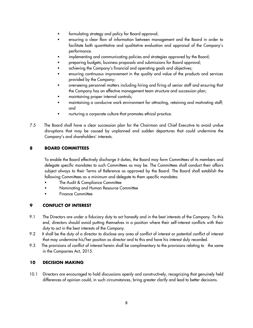- formulating strategy and policy for Board approval;
- ensuring a clear flow of information between management and the Board in order to facilitate both quantitative and qualitative evaluation and appraisal of the Company's performance.
- implementing and communicating policies and strategies approved by the Board;
- § preparing budgets, business proposals and submissions for Board approval;
- achieving the Company's financial and operating goals and objectives;
- ensuring continuous improvement in the quality and value of the products and services provided by the Company;
- § overseeing personnel matters including hiring and firing of senior staff and ensuring that the Company has an effective management team structure and succession plan;
- maintaining proper internal controls;
- maintaining a conducive work environment for attracting, retaining and motivating staff; and
- nurturing a corporate culture that promotes ethical practice.
- 7.5 The Board shall have a clear succession plan for the Chairman and Chief Executive to avoid undue disruptions that may be caused by unplanned and sudden departures that could undermine the Company's and shareholders' interests.

# **8 BOARD COMMITTEES**

To enable the Board effectively discharge it duties, the Board may form Committees of its members and delegate specific mandates to such Committees as may be. The Committees shall conduct their affairs subject always to their Terms of Reference as approved by the Board. The Board shall establish the following Committees as a minimum and delegate to them specific mandates:

- The Audit & Compliance Committee
- § Nominating and Human Resource Committee
- § Finance Committee

## **9 CONFLICT OF INTEREST**

- 9.1 The Directors are under a fiduciary duty to act honestly and in the best interests of the Company. To this end, directors should avoid putting themselves in a position where their self-interest conflicts with their duty to act in the best interests of the Company.
- 9.2 It shall be the duty of a director to disclose any area of conflict of interest or potential conflict of interest that may undermine his/her position as director and to this end have his interest duly recorded.
- 9.3 The provisions of conflict of interest herein shall be complimentary to the provisions relating to the same in the Companies Act, 2015.

## **10 DECISION MAKING**

10.1 Directors are encouraged to hold discussions openly and constructively, recognizing that genuinely held differences of opinion could, in such circumstances, bring greater clarify and lead to better decisions.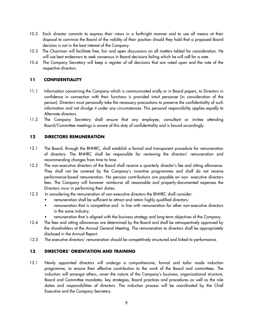- 10.2 Each director commits to express their views in a forthright manner and to use all means at their disposal to convince the Board of the validity of their position should they hold that a proposed Board decision is not in the best interest of the Company.
- 10.3 The Chairman will facilitate free, fair and open discussions on all matters tabled for consideration. He will use best endeavors to seek consensus in Board decisions failing which he will call for a vote.
- 10.4 The Company Secretary will keep a register of all decisions that are voted upon and the vote of the respective directors.

## **11 CONFIDENTIALITY**

- 11.1 Information concerning the Company which is communicated orally or in Board papers, to Directors in confidence in connection with their functions is provided *intuit personae* (in consideration of the person). Directors must personally take the necessary precautions to preserve the confidentiality of such information and not divulge it under any circumstances. This personal responsibility applies equally to Alternate directors.
- 11.2 The Company Secretary shall ensure that any employee, consultant or invitee attending Board/Committee meetings is aware of this duty of confidentiality and is bound accordingly.

## **12 DIRECTORS REMUNERATION**

- 12.1 The Board, through the BNHRC, shall establish a formal and transparent procedure for remuneration of directors. The BNHRC shall be responsible for reviewing the directors' remuneration and recommending changes from time to time.
- 12.2 The non-executive directors of the Board shall receive a quarterly director's fee and sitting allowance. They shall not be covered by the Company's incentive programmes and shall do not receive performance-based remuneration. No pension contributions are payable on non- executive directors fees. The Company will however reimburse all reasonable and properly-documented expenses the Directors incur in performing their duties.
- 12.3 In considering the remuneration of non-executive directors the BNHRC shall consider:
	- remuneration shall be sufficient to attract and retain highly qualified directors;
	- remuneration that is competitive and in line with remuneration for other non-executive directors in the same industry;
	- remuneration that is aligned with the business strategy and long-term objectives of the Company.
- 12.4 The fees and sitting allowances are determined by the Board and shall be retrospectively approved by the shareholders at the Annual General Meeting. The remuneration to directors shall be appropriately disclosed in the Annual Report.
- 12.5 The executive directors' remuneration should be competitively structured and linked to performance.

## **13 DIRECTORS' ORIENTATION AND TRAINING**

13.1 Newly appointed directors will undergo a comprehensive, formal and tailor made induction programme, to ensure their effective contribution to the work of the Board and committees. The induction will amongst others, cover the nature of the Company's business, organizational structure, Board and Committee mandates, key strategies, Board practices and procedures as well as the role duties and responsibilities of directors. The induction process will be coordinated by the Chief Executive and the Company Secretary.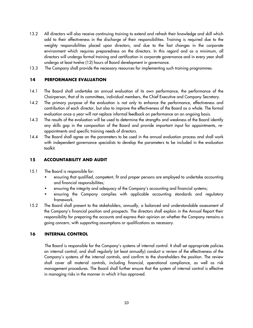- 13.2 All directors will also receive continuing training to extend and refresh their knowledge and skill which add to their effectiveness in the discharge of their responsibilities. Training is required due to the weighty responsibilities placed upon directors, and due to the fast changes in the corporate environment which requires preparedness on the directors. In this regard and as a minimum, all directors will undergo formal training and certification in corporate governance and in every year shall undergo at least twelve (12) hours of Board development in governance.
- 13.3 The Company shall provide the necessary resources for implementing such training programmes.

## **14 PERFORMANCE EVALUATION**

- 14.1 The Board shall undertake an annual evaluation of its own performance, the performance of the Chairperson, that of its committees, individual members, the Chief Executive and Company Secretary.
- 14.2 The primary purpose of the evaluation is not only to enhance the performance, effectiveness and contribution of each director, but also to improve the effectiveness of the Board as a whole. The formal evaluation once a year will not replace informal feedback on performance on an ongoing basis.
- 14.3 The results of the evaluation will be used to determine the strengths and weakness of the Board identify any skills gap in the composition of the Board and provide important input for appointments, reappointments and specific training needs of directors.
- 14.4 The Board shall agree on the parameters to be used in the annual evaluation process and shall work with independent governance specialists to develop the parameters to be included in the evaluation toolkit.

## **15 ACCOUNTABILITY AND AUDIT**

- 15.1 The Board is responsible for:
	- ensuring that qualified, competent, fit and proper persons are employed to undertake accounting and financial responsibilities;
	- ensuring the integrity and adequacy of the Company's accounting and financial systems;
	- ensuring the Company complies with applicable accounting standards and regulatory framework.
- 15.2 The Board shall present to the stakeholders, annually, a balanced and understandable assessment of the Company's financial position and prospects. The directors shall explain in the Annual Report their responsibility for preparing the accounts and express their opinion on whether the Company remains a going concern, with supporting assumptions or qualifications as necessary.

#### **16 INTERNAL CONTROL**

 The Board is responsible for the Company's systems of internal control. It shall set appropriate policies on internal control, and shall regularly (at least annually) conduct a review of the effectiveness of the Company's systems of the internal controls, and confirm to the shareholders the position. The review shall cover all material controls, including financial, operational compliance, as well as risk management procedures. The Board shall further ensure that the system of internal control is effective in managing risks in the manner in which it has approved.